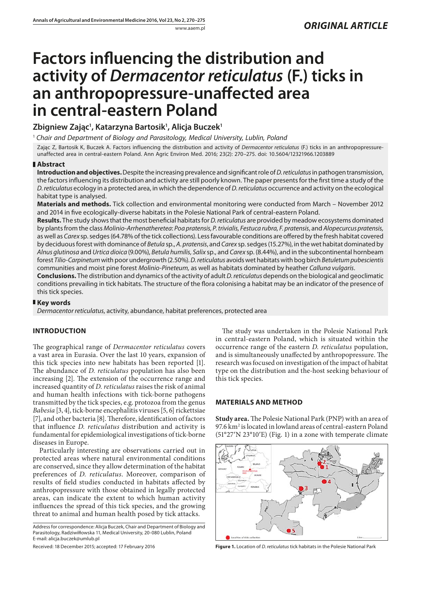# **Factors influencing the distribution and activity of** *Dermacentor reticulatus* **(F.) ticks in an anthropopressure-unaffected area in central-eastern Poland**

**Zbigniew Zając1 , Katarzyna Bartosik1 , Alicja Buczek1**

<sup>1</sup> *Chair and Department of Biology and Parasitology, Medical University, Lublin, Poland*

Zając Z, Bartosik K, Buczek A. Factors influencing the distribution and activity of *Dermacentor reticulatus* (F.) ticks in an anthropopressureunaffected area in central-eastern Poland. Ann Agric Environ Med. 2016; 23(2): 270–275. doi: 10.5604/12321966.1203889

## **Abstract**

**Introduction and objectives.** Despite the increasing prevalence and significant role of *D. reticulatus* in pathogen transmission, the factors influencing its distribution and activity are still poorly known. The paper presents for the first time a study of the *D. reticulatus* ecology in a protected area, in which the dependence of *D. reticulatus* occurrence and activity on the ecological habitat type is analysed.

**Materials and methods.** Tick collection and environmental monitoring were conducted from March – November 2012 and 2014 in five ecologically-diverse habitats in the Polesie National Park of central-eastern Poland.

**Results.** The study shows that the most beneficial habitats for *D. reticulatus* are provided by meadow ecosystems dominated by plants from the class *Molinio-Arrhenatheretea*: *Poa pratensis, P. trivialis, Festuca rubra, F. pratensis*, and *Alopecurcus pratensis,*  as well as *Carex* sp. sedges (64.78% of the tick collections). Less favourable conditions are offered by the fresh habitat covered by deciduous forest with dominance of *Betula* sp., *A. pratensis*, and *Carex* sp. sedges (15.27%), in the wet habitat dominated by *Alnus glutinosa* and *Urtica dioica* (9.00%), *Betula humilis, Salix* sp., and *Carex* sp. (8.44%), and in the subcontinental hornbeam forest *Tilio-Carpinetum* with poor undergrowth (2.50%). *D. reticulatus* avoids wet habitats with bog birch *Betuletum pubescientis* communities and moist pine forest *Molinio-Pineteum,* as well as habitats dominated by heather *Calluna vulgaris*.

**Conclusions.** The distribution and dynamics of the activity of adult *D. reticulatus* depends on the biological and geoclimatic conditions prevailing in tick habitats. The structure of the flora colonising a habitat may be an indicator of the presence of this tick species.

## **Key words**

*Dermacentor reticulatus*, activity, abundance, habitat preferences, protected area

## **INTRODUCTION**

The geographical range of *Dermacentor reticulatus* covers a vast area in Eurasia. Over the last 10 years, expansion of this tick species into new habitats has been reported [1]. The abundance of *D. reticulatus* population has also been increasing [2]. The extension of the occurrence range and increased quantity of *D. reticulatus* raises the risk of animal and human health infections with tick-borne pathogens transmitted by the tick species, e.g. protozoa from the genus *Babesia* [3, 4], tick-borne encephalitis viruses [5, 6] rickettsiae [7], and other bacteria [8]. Therefore, identification of factors that influence *D. reticulatus* distribution and activity is fundamental for epidemiological investigations of tick-borne diseases in Europe.

Particularly interesting are observations carried out in protected areas where natural environmental conditions are conserved, since they allow determination of the habitat preferences of *D. reticulatus*. Moreover, comparison of results of field studies conducted in habitats affected by anthropopressure with those obtained in legally protected areas, can indicate the extent to which human activity influences the spread of this tick species, and the growing threat to animal and human health posed by tick attacks.

Address for correspondence: Alicja Buczek, Chair and Department of Biology and Parasitology, Radziwiłłowska 11, Medical University, 20-080 Lublin, Poland E-mail: alicja.buczek@umlub.pl

Received: 18 December 2015; accepted: 17 February 2016

The study was undertaken in the Polesie National Park in central-eastern Poland, which is situated within the occurrence range of the eastern *D. reticulatus* population, and is simultaneously unaffected by anthropopressure. The research was focused on investigation of the impact of habitat type on the distribution and the-host seeking behaviour of this tick species.

## **MATERIALS AND METHOD**

**Study area.** The Polesie National Park (PNP) with an area of 97.6 km2 is located in lowland areas of central-eastern Poland (51°27′[N 23°10](https://tools.wmflabs.org/geohack/geohack.php?language=pl&pagename=Poleski_Park_Narodowy¶ms=51_27_19_N_23_10_24_E_type:city)′E) (Fig. 1) in a zone with temperate climate



**Figure 1.** Location of *D. reticulatus* tick habitats in the Polesie National Park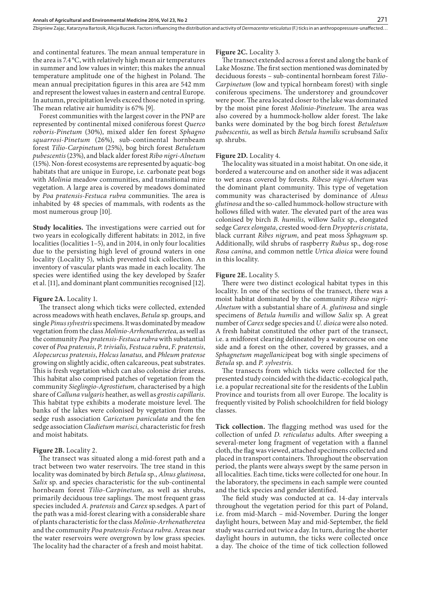Zbigniew Zając, Katarzyna Bartosik, Alicja Buczek . Factors influencing the distribution and activity of *Dermacentorreticulatus* (F.) ticks in an anthropopressure-unaffected…

and continental features. The mean annual temperature in the area is 7.4 °C, with relatively high mean air temperatures in summer and low values in winter; this makes the annual temperature amplitude one of the highest in Poland. The mean annual precipitation figures in this area are 542 mm and represent the lowest values in eastern and central Europe. In autumn, precipitation levels exceed those noted in spring. The mean relative air humidity is 67% [9].

Forest communities with the largest cover in the PNP are represented by continental mixed coniferous forest *Querco roboris-Pinetum* (30%), mixed alder fen forest *Sphagno squarrosi-Pinetum* (26%), sub-continental hornbeam forest *Tilio-Carpinetum* (25%), bog birch forest *Betuletum pubescentis* (23%), and black alder forest *Ribo nigri-Alnetum* (15%). Non-forest ecosystems are represented by aquatic-bog habitats that are unique in Europe, i.e. carbonate peat bogs with *Molinia* meadow communities, and transitional mire vegetation. A large area is covered by meadows dominated by *Poa pratensis-Festuca rubra* communities. The area is inhabited by 48 species of mammals, with rodents as the most numerous group [10].

**Study localities.** The investigations were carried out for two years in ecologically different habitats: in 2012, in five localities (localities 1–5), and in 2014, in only four localities due to the persisting high level of ground waters in one locality (Locality 5), which prevented tick collection. An inventory of vascular plants was made in each locality. The species were identified using the key developed by Szafer et al. [11], and dominant plant communities recognised [12].

#### **Figure 2A.** Locality 1.

The transect along which ticks were collected, extended across meadows with heath enclaves, *Betula* sp. groups, and single *Pinus sylvestris* specimens. It was dominated by meadow vegetation from the class *Molinio-Arrhenatheretea,* as well as the community *Poa pratensis-Festuca rubra* with substantial cover of *Poa pratensis*, *P. trivialis, Festuca rubra*, *F. pratensis*, *Alopecurcus pratensis*, *Holcus lanatus,* and *Phleum pratense* growing on slightly acidic, often calcareous, peat substrates. This is fresh vegetation which can also colonise drier areas. This habitat also comprised patches of vegetation from the community *Sieglingio-Agrostietum,* characterised by a high share of *Calluna vulgaris* heather, as well as *grostis capillaris*. This habitat type exhibits a moderate moisture level. The banks of the lakes were colonised by vegetation from the sedge rush association *Caricetum paniculata* and the fen sedge association *Cladietum marisci,* characteristic for fresh and moist habitats.

#### **Figure 2B.** Locality 2.

The transect was situated along a mid-forest path and a tract between two water reservoirs. The tree stand in this locality was dominated by birch *Betula* sp., *Alnus glutinosa*, *Salix* sp. and species characteristic for the sub-continental hornbeam forest *Tilio-Carpinetum,* as well as shrubs, primarily deciduous tree saplings. The most frequent grass species included *A. pratensis* and *Carex* sp*.*sedges. A part of the path was a mid-forest clearing with a considerable share of plants characteristic for the class *Molinio-Arrhenatheretea* and the community *Poa pratensis-Festuca rubra*. Areas near the water reservoirs were overgrown by low grass species. The locality had the character of a fresh and moist habitat.

#### **Figure 2C.** Locality 3.

The transect extended across a forest and along the bank of Lake Moszne. The first section mentioned was dominated by deciduous forests – sub-continental hornbeam forest *Tilio-Carpinetum* (low and typical hornbeam forest) with single coniferous specimens. The understorey and groundcover were poor. The area located closer to the lake was dominated by the moist pine forest *Molinio-Pineteum*. The area was also covered by a hummock-hollow alder forest. The lake banks were dominated by the bog birch forest *Betuletum pubescentis,* as well as birch *Betula humilis* scrubsand *Salix* sp. shrubs.

#### **Figure 2D.** Locality 4.

The locality was situated in a moist habitat. On one side, it bordered a watercourse and on another side it was adjacent to wet areas covered by forests. *Ribeso nigri-Alnetum* was the dominant plant community. This type of vegetation community was characterised by dominance of *Alnus glutinosa* and the so-called hummock-hollow structure with hollows filled with water. The elevated part of the area was colonised by birch *B. humilis,* willow *Salix* sp., elongated sedge *Carex elongata*, crested wood-fern *Dryopteris cristata*, black currant *Ribes nigrum*, and peat moss *Sphagnum* sp*.*  Additionally, wild shrubs of raspberry *Rubus* sp., dog-rose *Rosa canina*, and common nettle *Urtica dioica* were found in this locality.

#### **Figure 2E.** Locality 5.

There were two distinct ecological habitat types in this locality. In one of the sections of the transect, there was a moist habitat dominated by the community *Ribeso nigri-Alnetum* with a substantial share of *A. glutinosa* and single specimens of *Betula humilis* and willow *Salix* sp*.* A great number of *Carex* sedge species and *U. dioica* were also noted. A fresh habitat constituted the other part of the transect, i.e. a midforest clearing delineated by a watercourse on one side and a forest on the other, covered by grasses, and a *Sphagnetum magellanici*peat bog with single specimens of *Betula* sp. and *P. sylvestris*.

The transects from which ticks were collected for the presented study coincided with the didactic-ecological path, i.e. a popular recreational site for the residents of the Lublin Province and tourists from all over Europe. The locality is frequently visited by Polish schoolchildren for field biology classes.

**Tick collection.** The flagging method was used for the collection of unfed *D. reticulatus* adults. After sweeping a several-meter long fragment of vegetation with a flannel cloth, the flag was viewed, attached specimens collected and placed in transport containers. Throughout the observation period, the plants were always swept by the same person in all localities. Each time, ticks were collected for one hour. In the laboratory, the specimens in each sample were counted and the tick species and gender identified.

The field study was conducted at ca. 14-day intervals throughout the vegetation period for this part of Poland, i.e. from mid-March – mid-November. During the longer daylight hours, between May and mid-September, the field study was carried out twice a day. In turn, during the shorter daylight hours in autumn, the ticks were collected once a day. The choice of the time of tick collection followed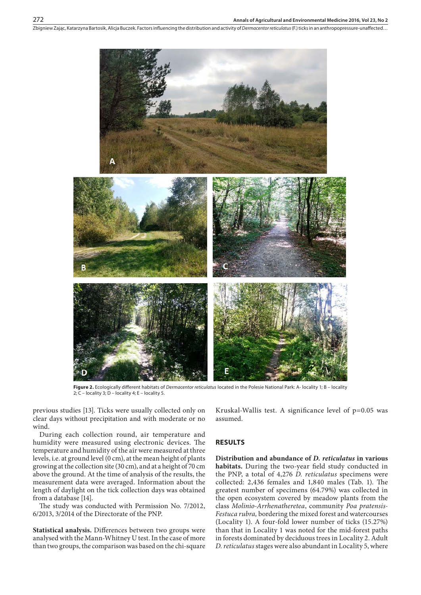Zbigniew Zając, Katarzyna Bartosik, Alicja Buczek . Factors influencing the distribution and activity of *Dermacentor reticulatus* (F.) ticks in an anthropopressure-unaffected…



**Figure 2.** Ecologically different habitats of *Dermacentor reticulatus* located in the Polesie National Park: A- locality 1; B – locality 2;  $\overline{C}$  – locality 3;  $\overline{D}$  – locality 4; E – locality 5.

previous studies [13]. Ticks were usually collected only on clear days without precipitation and with moderate or no wind.

During each collection round, air temperature and humidity were measured using electronic devices. The temperature and humidity of the air were measured at three levels, i.e. at ground level (0 cm), at the mean height of plants growing at the collection site (30 cm), and at a height of 70 cm above the ground. At the time of analysis of the results, the measurement data were averaged. Information about the length of daylight on the tick collection days was obtained from a database [14].

The study was conducted with Permission No. 7/2012, 6/2013, 3/2014 of the Directorate of the PNP.

**Statistical analysis.** Differences between two groups were analysed with the Mann-Whitney U test. In the case of more than two groups, the comparison was based on the chi-square

Kruskal-Wallis test. A significance level of  $p=0.05$  was assumed.

### **RESULTS**

**Distribution and abundance of** *D. reticulatus* **in various habitats.** During the two-year field study conducted in the PNP, a total of 4,276 *D. reticulatus* specimens were collected: 2,436 females and 1,840 males (Tab. 1). The greatest number of specimens (64.79%) was collected in the open ecosystem covered by meadow plants from the class *Molinio-Arrhenatheretea*, community *Poa pratensis-Festuca rubra,* bordering the mixed forest and watercourses (Locality 1). A four-fold lower number of ticks (15.27%) than that in Locality 1 was noted for the mid-forest paths in forests dominated by deciduous trees in Locality 2. Adult *D. reticulatus* stages were also abundant in Locality 5, where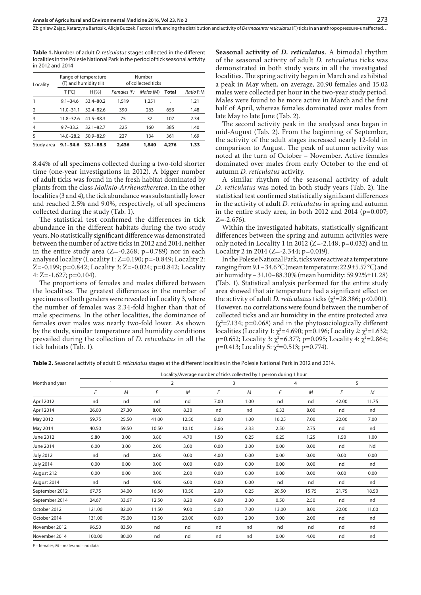**Table 1.** Number of adult *D. reticulatus* stages collected in the different localities in the Polesie National Park in the period of tick seasonal activity in 2012 and 2014

| Locality      |               | Range of temperature<br>(T) and humidity (H) |             | Number<br>of collected ticks |       |           |
|---------------|---------------|----------------------------------------------|-------------|------------------------------|-------|-----------|
|               | T [°C]        | H [%]                                        | Females (F) | Males (M)                    | Total | Ratio F:M |
|               | $9.1 - 34.6$  | 33.4-80.2                                    | 1,519       | 1.251                        | ,     | 1.21      |
| $\mathcal{P}$ | $11.0 - 31.1$ | $324 - 826$                                  | 390         | 263                          | 653   | 1.48      |
| 3             | $11.8 - 32.6$ | $41.5 - 88.3$                                | 75          | 32                           | 107   | 2.34      |
| 4             | $9.7 - 33.2$  | $32.1 - 82.7$                                | 225         | 160                          | 385   | 1.40      |
| 5             | $14.0 - 28.2$ | $50.9 - 82.9$                                | 227         | 134                          | 361   | 1.69      |
| Study area    | $9.1 - 34.6$  | $32.1 - 88.3$                                | 2,436       | 1,840                        | 4,276 | 1.33      |

8.44% of all specimens collected during a two-fold shorter time (one-year investigations in 2012). A bigger number of adult ticks was found in the fresh habitat dominated by plants from the class *Molinio-Arrhenatheretea*. In the other localities (3 and 4), the tick abundance was substantially lower and reached 2.5% and 9.0%, respectively, of all specimens collected during the study (Tab. 1).

The statistical test confirmed the differences in tick abundance in the different habitats during the two study years. No statistically significant difference was demonstrated between the number of active ticks in 2012 and 2014, neither in the entire study area  $(Z=-0.268; p=0.789)$  nor in each analysed locality (Locality 1: Z=0.190; p=-0.849; Locality 2: Z=-0.199; p=0.842; Locality 3: Z=-0.024; p=0.842; Locality 4: Z= $-1.627$ ; p= $0.104$ ).

The proportions of females and males differed between the localities. The greatest differences in the number of specimens of both genders were revealed in Locality 3, where the number of females was 2.34-fold higher than that of male specimens. In the other localities, the dominance of females over males was nearly two-fold lower. As shown by the study, similar temperature and humidity conditions prevailed during the collection of *D. reticulatus* in all the tick habitats (Tab. 1).

**Seasonal activity of** *D. reticulatus.* A bimodal rhythm of the seasonal activity of adult *D. reticulatus* ticks was demonstrated in both study years in all the investigated localities. The spring activity began in March and exhibited a peak in May when, on average, 20.90 females and 15.02 males were collected per hour in the two-year study period. Males were found to be more active in March and the first half of April, whereas females dominated over males from late May to late June (Tab. 2).

273

The second activity peak in the analysed area began in mid-August (Tab. 2). From the beginning of September, the activity of the adult stages increased nearly 12-fold in comparison to August. The peak of autumn activity was noted at the turn of October – November. Active females dominated over males from early October to the end of autumn *D. reticulatus* activity.

A similar rhythm of the seasonal activity of adult *D. reticulatus* was noted in both study years (Tab. 2). The statistical test confirmed statistically significant differences in the activity of adult *D. reticulatus* in spring and autumn in the entire study area, in both 2012 and 2014 ( $p=0.007$ ;  $Z=-2.676$ ).

Within the investigated habitats, statistically significant differences between the spring and autumn activities were only noted in Locality 1 in 2012 ( $Z=-2.148$ ; p=0.032) and in Locality 2 in 2014 (Z=-2.344; p=0.019).

In the Polesie National Park, ticks were active at a temperature ranging from 9.1 – 34.6°C (mean temperature: 22.9±5.57°C) and air humidity – 31.10–88.30% (mean humidity: 59.92%±11.28) (Tab. 1). Statistical analysis performed for the entire study area showed that air temperature had a significant effect on the activity of adult *D. reticulatus* ticks ( $\chi^2$ =28.386; p<0.001). However, no correlations were found between the number of collected ticks and air humidity in the entire protected area  $(\chi^2$ =7.134; p=0.068) and in the phytosociologically different localities (Locality 1:  $\chi^2$ =4.690; p=0.196; Locality 2:  $\chi^2$ =1.632; p=0.652; Locality 3:  $\chi^2$ =6.377; p=0.095; Locality 4:  $\chi^2$ =2.864; p=0.413; Locality 5:  $\chi^2$ =0.513; p=0.774).

**Table 2.** Seasonal activity of adult *D. reticulatus* stages at the different localities in the Polesie National Park in 2012 and 2014.

|                  | Locality/Average number of ticks collected by 1 person during 1 hour |       |                |       |      |      |       |       |       |       |  |
|------------------|----------------------------------------------------------------------|-------|----------------|-------|------|------|-------|-------|-------|-------|--|
| Month and year   | 1                                                                    |       | $\overline{2}$ |       | 3    |      | 4     |       |       | 5     |  |
|                  | F                                                                    | M     | F              | M     | F    | M    | F     | M     | F     | M     |  |
| April 2012       | nd                                                                   | nd    | nd             | nd    | 7.00 | 1.00 | nd    | nd    | 42.00 | 11.75 |  |
| April 2014       | 26.00                                                                | 27.30 | 8.00           | 8.30  | nd   | nd   | 6.33  | 8.00  | nd    | nd    |  |
| May 2012         | 59.75                                                                | 25.50 | 41.00          | 12.50 | 8.00 | 1.00 | 16.25 | 7.00  | 22.00 | 7.00  |  |
| May 2014         | 40.50                                                                | 59.50 | 10.50          | 10.10 | 3.66 | 2.33 | 2.50  | 2.75  | nd    | nd    |  |
| June 2012        | 5.80                                                                 | 3.00  | 3.80           | 4.70  | 1.50 | 0.25 | 6.25  | 1.25  | 1.50  | 1.00  |  |
| June 2014        | 6.00                                                                 | 3.00  | 2.00           | 3.00  | 0.00 | 3.00 | 0.00  | 0.00  | nd    | Nd    |  |
| <b>July 2012</b> | nd                                                                   | nd    | 0.00           | 0.00  | 4.00 | 0.00 | 0.00  | 0.00  | 0.00  | 0.00  |  |
| <b>July 2014</b> | 0.00                                                                 | 0.00  | 0.00           | 0.00  | 0.00 | 0.00 | 0.00  | 0.00  | nd    | nd    |  |
| August 212       | 0.00                                                                 | 0.00  | 0.00           | 2.00  | 0.00 | 0.00 | 0.00  | 0.00  | 0.00  | 0.00  |  |
| August 2014      | nd                                                                   | nd    | 4.00           | 6.00  | 0.00 | 0.00 | nd    | nd    | nd    | nd    |  |
| September 2012   | 67.75                                                                | 34.00 | 16.50          | 10.50 | 2.00 | 0.25 | 20.50 | 15.75 | 21.75 | 18.50 |  |
| September 2014   | 24.67                                                                | 33.67 | 12.50          | 8.20  | 6.00 | 3.00 | 0.50  | 2.50  | nd    | nd    |  |
| October 2012     | 121.00                                                               | 82.00 | 11.50          | 9.00  | 5.00 | 7.00 | 13.00 | 8.00  | 22.00 | 11.00 |  |
| October 2014     | 131.00                                                               | 75.00 | 12.50          | 20.00 | 0.00 | 2.00 | 3.00  | 2.00  | nd    | nd    |  |
| November 2012    | 96.50                                                                | 83.50 | nd             | nd    | nd   | nd   | nd    | nd    | nd    | nd    |  |
| November 2014    | 100.00                                                               | 80.00 | nd             | nd    | nd   | nd   | 0.00  | 4.00  | nd    | nd    |  |
|                  |                                                                      |       |                |       |      |      |       |       |       |       |  |

F – females; M – males; nd – no data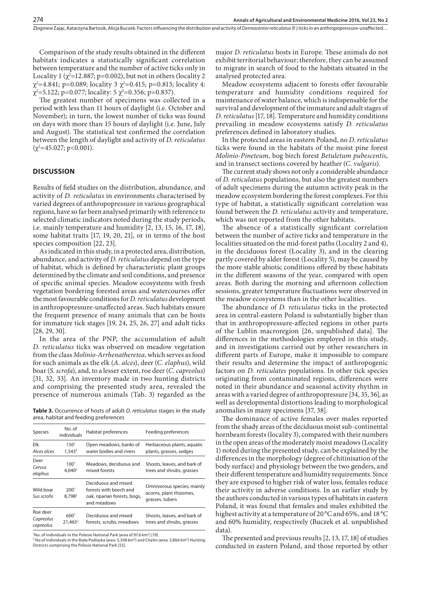#### Zbigniew Zając, Katarzyna Bartosik, Alicja Buczek . Factors influencing the distribution and activity of *Dermacentor reticulatus* (F.) ticks in an anthropopressure-unaffected…

Comparison of the study results obtained in the different habitats indicates a statistically significant correlation between temperature and the number of active ticks only in Locality 1 ( $\chi^2$ =12.887; p=0.002), but not in others (locality 2  $\chi^2$ =4.841; p=0.089; locality 3  $\chi^2$ =0.415; p=0.813; locality 4:  $\chi^2$ =5.122; p=0.077; locality: 5  $\chi^2$ =0.356; p=0.837).

The greatest number of specimens was collected in a period with less than 11 hours of daylight (i.e. October and November); in turn, the lowest number of ticks was found on days with more than 15 hours of daylight (i.e. June, July and August). The statistical test confirmed the correlation between the length of daylight and activity of *D. reticulatus*  $(\chi^2=45.027; p<0.001)$ .

## **DISCUSSION**

Results of field studies on the distribution, abundance, and activity of *D. reticulatus* in environments characterised by varied degrees of anthropopressure in various geographical regions, have so far been analysed primarily with reference to selected climatic indicators noted during the study periods, i.e. mainly temperature and humidity [2, 13, 15, 16, 17, 18], some habitat traits [17, 19, 20, 21], or in terms of the host species composition [22, 23].

As indicated in this study, in a protected area, distribution, abundance, and activity of *D. reticulatus* depend on the type of habitat, which is defined by characteristic plant groups determined by the climate and soil conditions, and presence of specific animal species. Meadow ecosystems with fresh vegetation bordering forested areas and watercourses offer the most favourable conditions for *D. reticulatus* development in anthropopressure-unaffected areas. Such habitats ensure the frequent presence of many animals that can be hosts for immature tick stages [19, 24, 25, 26, 27] and adult ticks [28, 29, 30].

In the area of the PNP, the accumulation of adult *D. reticulatus* ticks was observed on meadow vegetation from the class *Molinio-Arrhenatheretea*, which serves as food for such animals as the elk (*A. alces*), deer (*C. elaphus*), wild boar (*S. scrofa*), and, to a lesser extent, roe deer (*C. capreolus*) [31, 32, 33]. An inventory made in two hunting districts and comprising the presented study area, revealed the presence of numerous animals (Tab. 3) regarded as the

**Table 3.** Occurrence of hosts of adult *D. reticulatus* stages in the study area, habitat and feeding preferences

| <b>Species</b>                     | No. of<br>individuals                   | Habitat preferences                                                                          | Feeding preferences                                                      |
|------------------------------------|-----------------------------------------|----------------------------------------------------------------------------------------------|--------------------------------------------------------------------------|
| Elk<br>Alces alces                 | $150^{1}$<br>$1,543^2$                  | Open meadows, banks of<br>water bodies and rivers                                            | Herbaceous plants, aquatic<br>plants, grasses, sedges                    |
| Deer<br>Cervus<br>elaphus          | 100 <sup>1</sup><br>4.040 <sup>2</sup>  | Meadows, deciduous and<br>mixed forests                                                      | Shoots, leaves, and bark of<br>trees and shrubs, grasses                 |
| Wild boar<br>Sus scrofa            | 200 <sup>1</sup><br>8.798 <sup>2</sup>  | Deciduous and mixed<br>forests with beech and<br>oak, riparian forests, bogs,<br>and meadows | Omnivorous species; mainly<br>acorns, plant rhizomes,<br>grasses, tubers |
| Roe deer<br>Capreolus<br>capreolus | 600 <sup>1</sup><br>21,465 <sup>2</sup> | Deciduous and mixed<br>forests, scrubs, meadows                                              | Shoots, leaves, and bark of<br>trees and shrubs, grasses                 |

<sup>1</sup> No. of individuals in the Polesie National Park (area of 97.6 km<sup>2</sup>) [19].

<sup>2</sup> No.of individuals in the Biała Podlaska (area: 5,348 km<sup>2</sup>) and Chełm (area: 3,866 km<sup>2</sup>) Hunting Districts comprising the Polesie National Park [53].

major *D. reticulatus* hosts in Europe. These animals do not exhibit territorial behaviour; therefore, they can be assumed to migrate in search of food to the habitats situated in the analysed protected area.

Meadow ecosystems adjacent to forests offer favourable temperature and humidity conditions required for maintenance of water balance, which is indispensable for the survival and development of the immature and adult stages of *D. reticulatus* [17, 18]. Temperature and humidity conditions prevailing in meadow ecosystems satisfy *D. reticulatus* preferences defined in laboratory studies.

In the protected areas in eastern Poland, no *D. reticulatus* ticks were found in the habitats of the moist pine forest *Molinio-Pineteum*, bog birch forest *Betuletum pubescentis*, and in transect sections covered by heather (*C. vulgaris*).

The current study shows not only a considerable abundance of *D. reticulatus* populations, but also the greatest numbers of adult specimens during the autumn activity peak in the meadow ecosystem bordering the forest complexes. For this type of habitat, a statistically significant correlation was found between the *D. reticulatus* activity and temperature, which was not reported from the other habitats.

The absence of a statistically significant correlation between the number of active ticks and temperature in the localities situated on the mid-forest paths (Locality 2 and 4), in the deciduous forest (Locality 3), and in the clearing partly covered by alder forest (Locality 5), may be caused by the more stable abiotic conditions offered by these habitats in the different seasons of the year, compared with open areas. Both during the morning and afternoon collection sessions, greater temperature fluctuations were observed in the meadow ecosystems than in the other localities.

The abundance of *D. reticulatus* ticks in the protected area in central-eastern Poland is substantially higher than that in anthropopressure-affected regions in other parts of the Lublin macroregion [26, unpublished data]. The differences in the methodologies employed in this study, and in investigations carried out by other researchers in different parts of Europe, make it impossible to compare their results and determine the impact of anthropogenic factors on *D. reticulates* populations. In other tick species originating from contaminated regions, differences were noted in their abundance and seasonal activity rhythm in areas with a varied degree of anthropopressure [34, 35, 36], as well as developmental distortions leading to morphological anomalies in many specimens [37, 38].

The dominance of active females over males reported from the shady areas of the deciduous moist sub-continental hornbeam forests (locality 3), compared with their numbers in the open areas of the moderately moist meadows (Locality 1) noted during the presented study, can be explained by the differences in the morphology (degree of chitinisation of the body surface) and physiology between the two genders, and their different temperature and humidity requirements. Since they are exposed to higher risk of water loss, females reduce their activity in adverse conditions. In an earlier study by the authors conducted in various types of habitats in eastern Poland, it was found that females and males exhibited the highest activity at a temperature of 20 °C and 65%, and 18 °C and 60% humidity, respectively (Buczek et al. unpublished data).

The presented and previous results [2, 13, 17, 18] of studies conducted in eastern Poland, and those reported by other